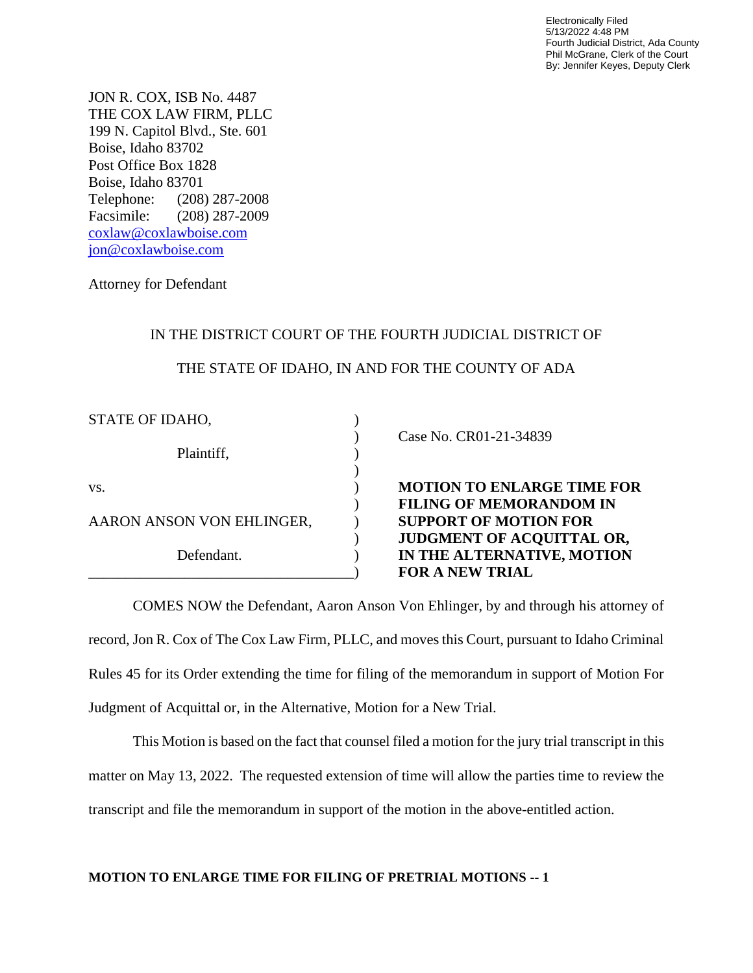Electronically Filed 5/13/2022 4:48 PM Fourth Judicial District, Ada County Phil McGrane, Clerk of the Court By: Jennifer Keyes, Deputy Clerk

JON R. COX, ISB No. 4487 THE COX LAW FIRM, PLLC 199 N. Capitol Blvd., Ste. 601 Boise, Idaho 83702 Post Office Box 1828 Boise, Idaho 83701 Telephone: (208) 287-2008 Facsimile: (208) 287-2009 [coxlaw@coxlawboise.com](mailto:coxlaw@coxlawboise.com) jon@coxlawboise.com

Attorney for Defendant

## IN THE DISTRICT COURT OF THE FOURTH JUDICIAL DISTRICT OF

## THE STATE OF IDAHO, IN AND FOR THE COUNTY OF ADA

| STATE OF IDAHO,           |  |
|---------------------------|--|
| Plaintiff,                |  |
|                           |  |
| VS.                       |  |
| AARON ANSON VON EHLINGER, |  |
| Defendant.                |  |
|                           |  |

) Case No. CR01-21-34839

**MOTION TO ENLARGE TIME FOR** ) **FILING OF MEMORANDOM IN SUPPORT OF MOTION FOR** ) **JUDGMENT OF ACQUITTAL OR,** IN THE ALTERNATIVE, MOTION \_\_\_\_\_\_\_\_\_\_\_\_\_\_\_\_\_\_\_\_\_\_\_\_\_\_\_\_\_\_\_\_\_\_\_\_) **FOR A NEW TRIAL**

COMES NOW the Defendant, Aaron Anson Von Ehlinger, by and through his attorney of record, Jon R. Cox of The Cox Law Firm, PLLC, and moves this Court, pursuant to Idaho Criminal Rules 45 for its Order extending the time for filing of the memorandum in support of Motion For Judgment of Acquittal or, in the Alternative, Motion for a New Trial.

This Motion is based on the fact that counsel filed a motion for the jury trial transcript in this matter on May 13, 2022. The requested extension of time will allow the parties time to review the transcript and file the memorandum in support of the motion in the above-entitled action.

## **MOTION TO ENLARGE TIME FOR FILING OF PRETRIAL MOTIONS -- 1**